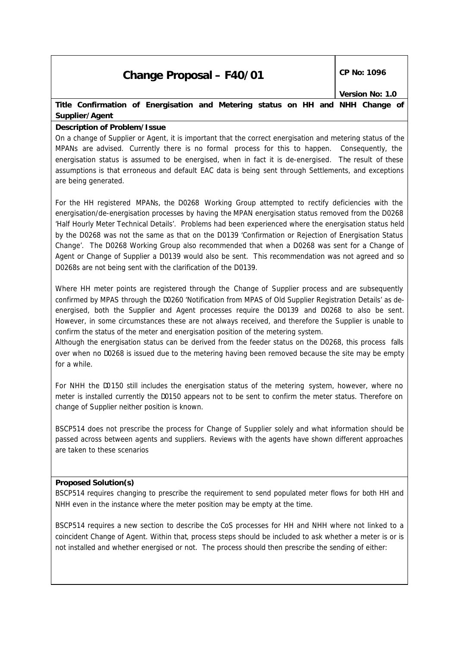# **Change Proposal – F40/01** CP No: 1096

## **Title Confirmation of Energisation and Metering status on HH and NHH Change of Supplier/Agent**

### **Description of Problem/Issue**

On a change of Supplier or Agent, it is important that the correct energisation and metering status of the MPANs are advised. Currently there is no formal process for this to happen. Consequently, the energisation status is assumed to be energised, when in fact it is de-energised. The result of these assumptions is that erroneous and default EAC data is being sent through Settlements, and exceptions are being generated.

For the HH registered MPANs, the D0268 Working Group attempted to rectify deficiencies with the energisation/de-energisation processes by having the MPAN energisation status removed from the D0268 'Half Hourly Meter Technical Details'. Problems had been experienced where the energisation status held by the D0268 was not the same as that on the D0139 'Confirmation or Rejection of Energisation Status Change'. The D0268 Working Group also recommended that when a D0268 was sent for a Change of Agent or Change of Supplier a D0139 would also be sent. This recommendation was not agreed and so D0268s are not being sent with the clarification of the D0139.

Where HH meter points are registered through the Change of Supplier process and are subsequently confirmed by MPAS through the D0260 'Notification from MPAS of Old Supplier Registration Details' as deenergised, both the Supplier and Agent processes require the D0139 and D0268 to also be sent. However, in some circumstances these are not always received, and therefore the Supplier is unable to confirm the status of the meter and energisation position of the metering system.

Although the energisation status can be derived from the feeder status on the D0268, this process falls over when no D0268 is issued due to the metering having been removed because the site may be empty for a while.

For NHH the D0150 still includes the energisation status of the metering system, however, where no meter is installed currently the D0150 appears not to be sent to confirm the meter status. Therefore on change of Supplier neither position is known.

BSCP514 does not prescribe the process for Change of Supplier solely and what information should be passed across between agents and suppliers. Reviews with the agents have shown different approaches are taken to these scenarios

### **Proposed Solution(s)**

BSCP514 requires changing to prescribe the requirement to send populated meter flows for both HH and NHH even in the instance where the meter position may be empty at the time.

BSCP514 requires a new section to describe the CoS processes for HH and NHH where not linked to a coincident Change of Agent. Within that, process steps should be included to ask whether a meter is or is not installed and whether energised or not. The process should then prescribe the sending of either: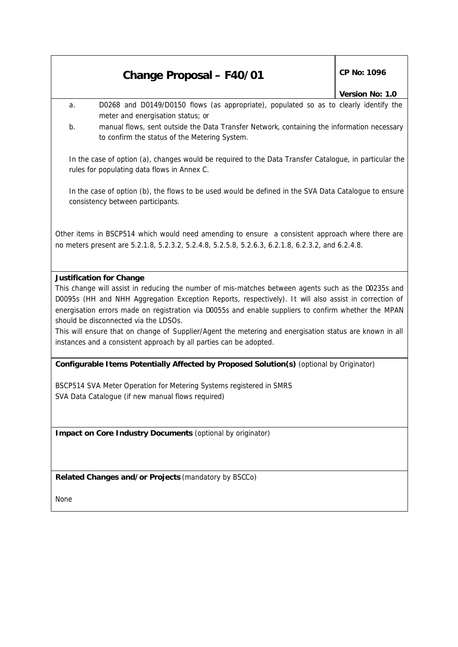## **Change Proposal – F40/01** CP No: 1096

### *Version No: 1.0*

- a. D0268 and D0149/D0150 flows (as appropriate), populated so as to clearly identify the meter and energisation status; or
- b. manual flows, sent outside the Data Transfer Network, containing the information necessary to confirm the status of the Metering System.

In the case of option (a), changes would be required to the Data Transfer Catalogue, in particular the rules for populating data flows in Annex C.

In the case of option (b), the flows to be used would be defined in the SVA Data Catalogue to ensure consistency between participants.

Other items in BSCP514 which would need amending to ensure a consistent approach where there are no meters present are 5.2.1.8, 5.2.3.2, 5.2.4.8, 5.2.5.8, 5.2.6.3, 6.2.1.8, 6.2.3.2, and 6.2.4.8.

#### **Justification for Change**

This change will assist in reducing the number of mis-matches between agents such as the D0235s and D0095s (HH and NHH Aggregation Exception Reports, respectively). It will also assist in correction of energisation errors made on registration via D0055s and enable suppliers to confirm whether the MPAN should be disconnected via the LDSOs.

This will ensure that on change of Supplier/Agent the metering and energisation status are known in all instances and a consistent approach by all parties can be adopted.

#### **Configurable Items Potentially Affected by Proposed Solution(s)** *(optional by Originator)*

BSCP514 SVA Meter Operation for Metering Systems registered in SMRS SVA Data Catalogue (if new manual flows required)

**Impact on Core Industry Documents** *(optional by originator)*

**Related Changes and/or Projects** *(mandatory by BSCCo)*

None